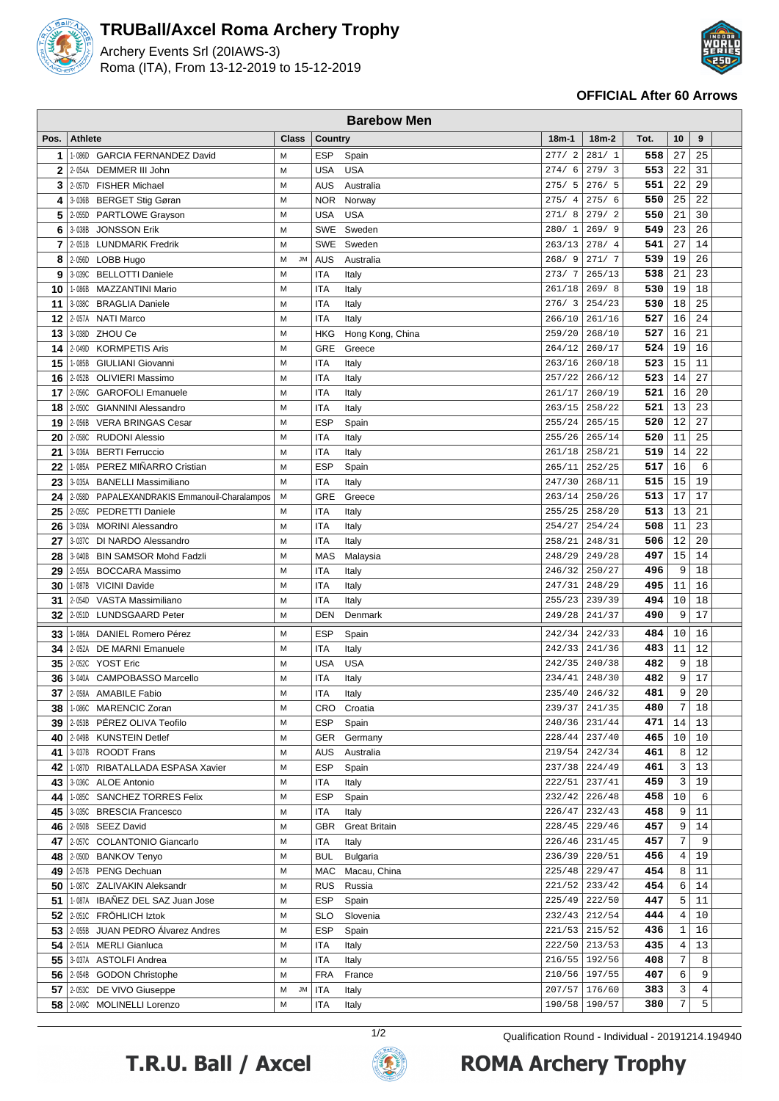

## **TRUBall/Axcel Roma Archery Trophy**

Archery Events Srl (20IAWS-3) Roma (ITA), From 13-12-2019 to 15-12-2019



## **OFFICIAL After 60 Arrows**

| <b>Barebow Men</b> |                |                                                             |                |            |                      |           |                                |            |              |                |  |
|--------------------|----------------|-------------------------------------------------------------|----------------|------------|----------------------|-----------|--------------------------------|------------|--------------|----------------|--|
| Pos.               | <b>Athlete</b> |                                                             | <b>Class</b>   | Country    |                      | $18m-1$   | $18m-2$                        | Tot.       | 10           | 9              |  |
| 1                  | 1-086D         | <b>GARCIA FERNANDEZ David</b>                               | M              | <b>ESP</b> | Spain                | 277/2     | 281/1                          | 558        | 27           | 25             |  |
| 2                  | 2-054A         | DEMMER III John                                             | M              | <b>USA</b> | <b>USA</b>           | 274/<br>6 | 279/3                          | 553        | 22           | 31             |  |
| 3                  | 2-057D         | <b>FISHER Michael</b>                                       | M              | <b>AUS</b> | Australia            | 275/<br>5 | 276/5                          | 551        | 22           | 29             |  |
| 4                  | 3-036B         | <b>BERGET Stig Gøran</b>                                    | M              | <b>NOR</b> | Norway               | 275/4     | 275/6                          | 550        | 25           | 22             |  |
| 5                  | 2-055D         | <b>PARTLOWE Grayson</b>                                     | M              | <b>USA</b> | <b>USA</b>           | 271/8     | 279/2                          | 550        | 21           | 30             |  |
| 6                  | 3-038B         | <b>JONSSON Erik</b>                                         | M              | <b>SWE</b> | Sweden               | 280/1     | 269/9                          | 549        | 23           | 26             |  |
| 7                  |                | 2-051B LUNDMARK Fredrik                                     | M              | <b>SWE</b> | Sweden               | 263/13    | 278/4                          | 541        | 27           | 14             |  |
| 8                  | 2-056D         | LOBB Hugo                                                   | <b>JM</b><br>M | AUS        | Australia            | 268/9     | 271/7                          | 539        | 19           | 26             |  |
| 9                  | 3-039C         | <b>BELLOTTI Daniele</b>                                     | M              | <b>ITA</b> | Italy                | 273/7     | 265/13                         | 538        | 21           | 23             |  |
| 10                 | 1-086B         | MAZZANTINI Mario                                            | M              | <b>ITA</b> | Italy                | 261/18    | 269/8                          | 530        | 19           | 18             |  |
| 11                 | 3-038C         | <b>BRAGLIA Daniele</b>                                      | M              | <b>ITA</b> | Italy                | 276/3     | 254/23                         | 530        | 18           | 25             |  |
| 12                 | 2-057A         | <b>NATI Marco</b>                                           | M              | <b>ITA</b> | Italy                | 266/10    | 261/16                         | 527        | 16           | 24             |  |
| 13                 | 3-038D         | ZHOU Ce                                                     | M              | HKG        | Hong Kong, China     | 259/20    | 268/10                         | 527        | 16           | 21             |  |
| 14                 | 2-049D         | <b>KORMPETIS Aris</b>                                       | M              | <b>GRE</b> | Greece               | 264/12    | 260/17                         | 524        | 19           | 16             |  |
| 15                 | 1-085B         | GIULIANI Giovanni                                           | M              | <b>ITA</b> | Italy                | 263/16    | 260/18                         | 523        | 15           | 11             |  |
| 16                 | 2-052B         | <b>OLIVIERI Massimo</b>                                     | M              | <b>ITA</b> | Italy                | 257/22    | 266/12                         | 523        | 14           | 27             |  |
| 17                 | 2-056C         | <b>GAROFOLI Emanuele</b>                                    | M              | <b>ITA</b> | Italy                | 261/17    | 260/19                         | 521        | 16           | 20             |  |
| 18                 | 2-050C         | <b>GIANNINI Alessandro</b>                                  | M              | <b>ITA</b> | Italy                | 263/15    | 258/22                         | 521        | 13           | 23             |  |
| 19                 | 2-056B         | <b>VERA BRINGAS Cesar</b>                                   | M              | <b>ESP</b> | Spain                | 255/24    | 265/15                         | 520        | 12           | 27             |  |
| 20                 | 2-058C         | <b>RUDONI Alessio</b>                                       | M              | <b>ITA</b> | Italy                | 255/26    | 265/14                         | 520        | 11           | 25             |  |
| 21                 | 3-036A         | <b>BERTI Ferruccio</b>                                      | M              | <b>ITA</b> | Italy                | 261/18    | 258/21                         | 519        | 14           | 22             |  |
| 22                 | 1-085A         | PEREZ MIÑARRO Cristian                                      | M              | <b>ESP</b> | Spain                | 265/11    | 252/25                         | 517        | 16           | 6              |  |
| 23                 | 3-035A         | <b>BANELLI Massimiliano</b>                                 | M              | <b>ITA</b> | Italy                | 247/30    | 268/11                         | 515        | 15           | 19             |  |
| 24                 | 2-058D         | PAPALEXANDRAKIS Emmanouil-Charalampos                       | M              | GRE        | Greece               | 263/14    | 250/26                         | 513        | 17           | 17             |  |
| 25                 | 2-055C         | <b>PEDRETTI Daniele</b>                                     | M              | <b>ITA</b> | Italy                | 255/25    | 258/20                         | 513        | 13           | 21             |  |
| 26                 | 3-039A         | <b>MORINI Alessandro</b>                                    | M              | <b>ITA</b> | Italy                | 254/27    | 254/24                         | 508        | 11           | 23             |  |
| 27                 | 3-037C         | DI NARDO Alessandro                                         | M              | <b>ITA</b> | Italy                | 258/21    | 248/31                         | 506        | 12           | 20             |  |
| 28                 | 3-040B         | <b>BIN SAMSOR Mohd Fadzli</b>                               | M              | <b>MAS</b> | Malaysia             | 248/29    | 249/28                         | 497        | 15           | 14             |  |
| 29                 | 2-055A         | <b>BOCCARA Massimo</b>                                      | M              | <b>ITA</b> | Italy                | 246/32    | 250/27                         | 496        | 9            | 18             |  |
| 30                 | 1-087B         | <b>VICINI Davide</b>                                        | M              | <b>ITA</b> | Italy                | 247/31    | 248/29                         | 495        | 11           | 16             |  |
| 31                 | 2-054D         | VASTA Massimiliano                                          | M              | <b>ITA</b> | Italy                | 255/23    | 239/39                         | 494        | 10           | 18             |  |
| 32                 |                | 2-051D LUNDSGAARD Peter                                     | M              | <b>DEN</b> | Denmark              | 249/28    | 241/37                         | 490        | 9            | 17             |  |
| 33                 | 1-086A         | DANIEL Romero Pérez                                         | M              | <b>ESP</b> | Spain                | 242/34    | 242/33                         | 484        | 10           | 16             |  |
| 34                 | 2-052A         | DE MARNI Emanuele                                           | M              | <b>ITA</b> | Italy                | 242/33    | 241/36                         | 483        | 11           | 12             |  |
| 35                 |                | 2-052C YOST Eric                                            | M              | <b>USA</b> | <b>USA</b>           | 242/35    | 240/38                         | 482        | 9            | 18             |  |
| 36                 | 3-040A         | CAMPOBASSO Marcello                                         | M              | <b>ITA</b> | Italy                | 234/41    | 248/30                         | 482        | 9            | 17             |  |
| 37                 |                | 2-058A AMABILE Fabio                                        | M              | <b>ITA</b> | Italy                | 235/40    | 246/32                         | 481        | 9            | 20             |  |
| 38                 |                | 1-086C MARENCIC Zoran                                       | м              |            | CRO Croatia          |           | 239/37 241/35                  | 480        | 7            | 18             |  |
| 39                 | 2-053B         | PÉREZ OLIVA Teofilo                                         | M              | <b>ESP</b> | Spain                | 240/36    | 231/44                         | 471        | 14           | 13             |  |
| 40                 |                | 2-049B KUNSTEIN Detlef                                      | M              | <b>GER</b> | Germany              |           | 228/44 237/40                  | 465        | 10           | $10$           |  |
| 41                 |                | 3-037B ROODT Frans                                          | M              | <b>AUS</b> | Australia            |           | $219/54$   242/34              | 461        | 8            | $12$           |  |
| 42                 |                | 1-087D RIBATALLADA ESPASA Xavier                            | M              | <b>ESP</b> | Spain                |           | 237/38 224/49                  | 461        | 3            | 13             |  |
| 43                 |                | 3-036C ALOE Antonio                                         | M              | <b>ITA</b> | Italy                | 222/51    | 237/41                         | 459        | 3            | 19             |  |
| 44                 |                | 1-085C SANCHEZ TORRES Felix                                 | M              | <b>ESP</b> | Spain                |           | 232/42 226/48                  | 458        | 10           | 6              |  |
| 45                 |                | 3-035C BRESCIA Francesco                                    | M              | ITA        | Italy                | 226/47    | 232/43                         | 458        | 9            | 11             |  |
|                    |                | 46 2-050B SEEZ David                                        | M              | <b>GBR</b> | <b>Great Britain</b> | 228/45    | 229/46                         | 457        | 9            | 14             |  |
|                    |                | 47 2670 COLANTONIO Giancarlo                                | M              | <b>ITA</b> | Italy                |           | 226/46 231/45                  | 457        | 7            | 9              |  |
|                    |                | 48 2-050D BANKOV Tenyo                                      | M              | <b>BUL</b> | <b>Bulgaria</b>      | 236/39    | 220/51                         | 456        | 4            | 19             |  |
|                    |                | 49   2-057B PENG Dechuan                                    | M              | MAC        | Macau, China         | 225/48    | 229/47                         | 454        | 8            | 11             |  |
| 50                 | 1-087C         | ZALIVAKIN Aleksandr                                         | M              | <b>RUS</b> | Russia               | 221/52    | 233/42                         | 454        | 6            | 14             |  |
| 51                 |                | 1-087A IBAÑEZ DEL SAZ Juan Jose                             | M              | <b>ESP</b> | Spain                |           | 225/49 222/50                  | 447        | 5            | 11             |  |
|                    |                | 52 2-051C FRÖHLICH Iztok                                    | M              | <b>SLO</b> | Slovenia             |           | 232/43 212/54                  | 444        | 4            | 10             |  |
| 53                 |                | 2-055B JUAN PEDRO Alvarez Andres                            | M              | <b>ESP</b> | Spain                |           | 221/53 215/52                  | 436        | $\mathbf{1}$ | 16             |  |
| 54                 |                | 2-051A MERLI Gianluca                                       | M              | ITA        | Italy                | 222/50    | 213/53                         | 435        | 4            | 13             |  |
|                    |                | 55   3-037A ASTOLFI Andrea                                  | M              | <b>ITA</b> | Italy                |           | 216/55 192/56<br>210/56 197/55 | 408        | 7<br>6       | 8<br>9         |  |
|                    |                | 56   2-054B GODON Christophe                                | M              | <b>FRA</b> | France               |           | 207/57 176/60                  | 407<br>383 | 3            | $\overline{4}$ |  |
|                    |                | 57   2-053C DE VIVO Giuseppe<br>58 2-049C MOLINELLI Lorenzo | JM<br>М<br>M   | <b>ITA</b> | Italy                |           | 190/58 190/57                  |            | 7            | 5              |  |
|                    |                |                                                             |                | ITA        | Italy                |           |                                | 380        |              |                |  |